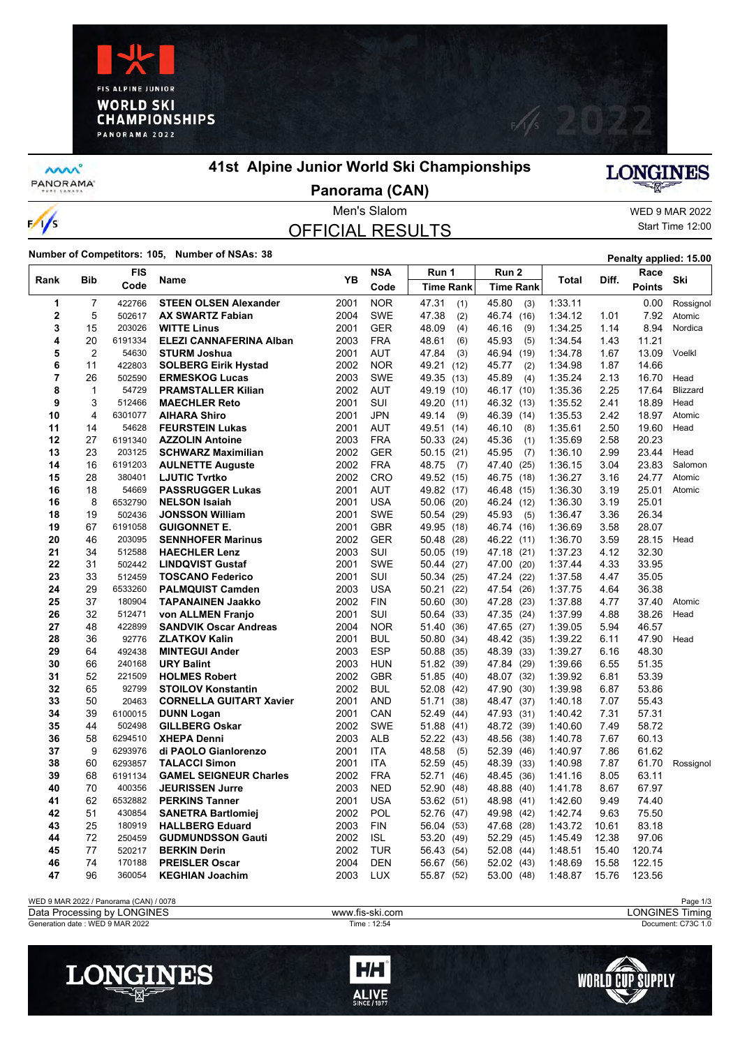



**MW** PANORAMA<sup>-</sup>

 $\frac{1}{s}$ 

## **41st Alpine Junior World Ski Championships**



**Panorama (CAN)**

## OFFICIAL RESULTS

Men's Slalom WED 9 MAR 2022 Start Time 12:00

## **Number of Competitors: 105, Number of NSAs: 38 Penalty applied: 15.00 Penalty applied: 15.00**

|                |                         | <b>FIS</b> |                                |      | <b>NSA</b> | Run 1            | Run <sub>2</sub> |              |       | Race          |                 |
|----------------|-------------------------|------------|--------------------------------|------|------------|------------------|------------------|--------------|-------|---------------|-----------------|
| Rank           | <b>Bib</b>              | Code       | Name                           | YB   | Code       | <b>Time Rank</b> | <b>Time Rank</b> | <b>Total</b> | Diff. | <b>Points</b> | Ski             |
| 1              | 7                       | 422766     | <b>STEEN OLSEN Alexander</b>   | 2001 | <b>NOR</b> | 47.31<br>(1)     | 45.80<br>(3)     | 1:33.11      |       | 0.00          | Rossignol       |
| $\overline{2}$ | 5                       | 502617     | <b>AX SWARTZ Fabian</b>        | 2004 | <b>SWE</b> | 47.38<br>(2)     | 46.74 (16)       | 1:34.12      | 1.01  | 7.92          | Atomic          |
| 3              | 15                      | 203026     | <b>WITTE Linus</b>             | 2001 | <b>GER</b> | 48.09<br>(4)     | 46.16<br>(9)     | 1:34.25      | 1.14  | 8.94          | Nordica         |
| 4              | 20                      | 6191334    | <b>ELEZI CANNAFERINA Alban</b> | 2003 | <b>FRA</b> | 48.61<br>(6)     | (5)<br>45.93     | 1:34.54      | 1.43  | 11.21         |                 |
| 5              | $\overline{2}$          | 54630      | <b>STURM Joshua</b>            | 2001 | <b>AUT</b> | 47.84<br>(3)     | 46.94 (19)       | 1:34.78      | 1.67  | 13.09         | Voelkl          |
| 6              | 11                      | 422803     | <b>SOLBERG Eirik Hystad</b>    | 2002 | <b>NOR</b> | 49.21<br>(12)    | 45.77<br>(2)     | 1:34.98      | 1.87  | 14.66         |                 |
| 7              | 26                      | 502590     | <b>ERMESKOG Lucas</b>          | 2003 | <b>SWE</b> | 49.35 (13)       | 45.89<br>(4)     | 1:35.24      | 2.13  | 16.70         | Head            |
| 8              | $\mathbf{1}$            | 54729      | <b>PRAMSTALLER Kilian</b>      | 2002 | <b>AUT</b> | 49.19<br>(10)    | 46.17 (10)       | 1:35.36      | 2.25  | 17.64         | <b>Blizzard</b> |
| 9              | 3                       | 512466     | <b>MAECHLER Reto</b>           | 2001 | <b>SUI</b> | 49.20<br>(11)    | 46.32 (13)       | 1:35.52      | 2.41  | 18.89         | Head            |
| 10             | $\overline{\mathbf{4}}$ | 6301077    | <b>AIHARA Shiro</b>            | 2001 | <b>JPN</b> | 49.14<br>(9)     | 46.39 (14)       | 1:35.53      | 2.42  | 18.97         | Atomic          |
| 11             | 14                      | 54628      | <b>FEURSTEIN Lukas</b>         | 2001 | <b>AUT</b> | 49.51 (14)       | 46.10<br>(8)     | 1:35.61      | 2.50  | 19.60         | Head            |
| 12             | 27                      | 6191340    | <b>AZZOLIN Antoine</b>         | 2003 | <b>FRA</b> | 50.33<br>(24)    | 45.36<br>(1)     | 1:35.69      | 2.58  | 20.23         |                 |
| 13             | 23                      | 203125     | <b>SCHWARZ Maximilian</b>      | 2002 | <b>GER</b> | 50.15 (21)       | 45.95<br>(7)     | 1:36.10      | 2.99  | 23.44         | Head            |
| 14             | 16                      | 6191203    | <b>AULNETTE Auguste</b>        | 2002 | <b>FRA</b> | 48.75<br>(7)     | 47.40 (25)       | 1:36.15      | 3.04  | 23.83         | Salomon         |
| 15             | 28                      | 380401     | <b>LJUTIC Tvrtko</b>           | 2002 | <b>CRO</b> | 49.52 (15)       | 46.75<br>(18)    | 1:36.27      | 3.16  | 24.77         | Atomic          |
| 16             | 18                      | 54669      | <b>PASSRUGGER Lukas</b>        | 2001 | <b>AUT</b> | 49.82 (17)       | 46.48 (15)       | 1:36.30      | 3.19  | 25.01         | Atomic          |
| 16             | 8                       | 6532790    | <b>NELSON Isaiah</b>           | 2001 | <b>USA</b> | 50.06<br>(20)    | 46.24 (12)       | 1:36.30      | 3.19  | 25.01         |                 |
| 18             | 19                      | 502436     | <b>JONSSON William</b>         | 2001 | <b>SWE</b> | 50.54 (29)       | 45.93<br>(5)     | 1:36.47      | 3.36  | 26.34         |                 |
| 19             | 67                      | 6191058    | <b>GUIGONNET E.</b>            | 2001 | <b>GBR</b> | 49.95 (18)       | 46.74 (16)       | 1:36.69      | 3.58  | 28.07         |                 |
| 20             | 46                      | 203095     | <b>SENNHOFER Marinus</b>       | 2002 | <b>GER</b> | 50.48 (28)       | 46.22 (11)       | 1:36.70      | 3.59  | 28.15         | Head            |
| 21             | 34                      | 512588     | <b>HAECHLER Lenz</b>           | 2003 | SUI        | 50.05<br>(19)    | 47.18<br>(21)    | 1:37.23      | 4.12  | 32.30         |                 |
| 22             | 31                      | 502442     | <b>LINDQVIST Gustaf</b>        | 2001 | <b>SWE</b> | 50.44<br>(27)    | 47.00 (20)       | 1:37.44      | 4.33  | 33.95         |                 |
| 23             | 33                      | 512459     | <b>TOSCANO Federico</b>        | 2001 | SUI        | 50.34<br>(25)    | (22)<br>47.24    | 1:37.58      | 4.47  | 35.05         |                 |
| 24             | 29                      | 6533260    | <b>PALMQUIST Camden</b>        | 2003 | <b>USA</b> | 50.21<br>(22)    | (26)<br>47.54    | 1:37.75      | 4.64  | 36.38         |                 |
| 25             | 37                      | 180904     | <b>TAPANAINEN Jaakko</b>       | 2002 | <b>FIN</b> | (30)<br>50.60    | 47.28<br>(23)    | 1:37.88      | 4.77  | 37.40         | Atomic          |
| 26             | 32                      | 512471     | von ALLMEN Franjo              | 2001 | SUI        | 50.64<br>(33)    | 47.35 (24)       | 1:37.99      | 4.88  | 38.26         | Head            |
| 27             | 48                      | 422899     | <b>SANDVIK Oscar Andreas</b>   | 2004 | <b>NOR</b> | 51.40<br>(36)    | 47.65 (27)       | 1:39.05      | 5.94  | 46.57         |                 |
| 28             | 36                      | 92776      | <b>ZLATKOV Kalin</b>           | 2001 | <b>BUL</b> | 50.80<br>(34)    | 48.42 (35)       | 1:39.22      | 6.11  | 47.90         | Head            |
| 29             | 64                      | 492438     | <b>MINTEGUI Ander</b>          | 2003 | <b>ESP</b> | 50.88<br>(35)    | 48.39 (33)       | 1:39.27      | 6.16  | 48.30         |                 |
| 30             | 66                      | 240168     | <b>URY Balint</b>              | 2003 | <b>HUN</b> | 51.82 (39)       | 47.84 (29)       | 1:39.66      | 6.55  | 51.35         |                 |
| 31             | 52                      | 221509     | <b>HOLMES Robert</b>           | 2002 | <b>GBR</b> | 51.85<br>(40)    | 48.07 (32)       | 1:39.92      | 6.81  | 53.39         |                 |
| 32             | 65                      | 92799      | <b>STOILOV Konstantin</b>      | 2002 | <b>BUL</b> | 52.08<br>(42)    | 47.90 (30)       | 1:39.98      | 6.87  | 53.86         |                 |
| 33             | 50                      | 20463      | <b>CORNELLA GUITART Xavier</b> | 2001 | <b>AND</b> | 51.71<br>(38)    | 48.47 (37)       | 1:40.18      | 7.07  | 55.43         |                 |
| 34             | 39                      | 6100015    | <b>DUNN Logan</b>              | 2001 | CAN        | 52.49 (44)       | 47.93 (31)       | 1:40.42      | 7.31  | 57.31         |                 |
| 35             | 44                      | 502498     | <b>GILLBERG Oskar</b>          | 2002 | <b>SWE</b> | 51.88<br>(41)    | 48.72 (39)       | 1:40.60      | 7.49  | 58.72         |                 |
| 36             | 58                      | 6294510    | <b>XHEPA Denni</b>             | 2003 | <b>ALB</b> | 52.22 (43)       | 48.56<br>(38)    | 1:40.78      | 7.67  | 60.13         |                 |
| 37             | 9                       | 6293976    | di PAOLO Gianlorenzo           | 2001 | <b>ITA</b> | 48.58<br>(5)     | 52.39 (46)       | 1:40.97      | 7.86  | 61.62         |                 |
| 38             | 60                      | 6293857    | <b>TALACCI Simon</b>           | 2001 | <b>ITA</b> | 52.59<br>(45)    | 48.39<br>(33)    | 1:40.98      | 7.87  | 61.70         | Rossignol       |
| 39             | 68                      | 6191134    | <b>GAMEL SEIGNEUR Charles</b>  | 2002 | <b>FRA</b> | 52.71<br>(46)    | 48.45 (36)       | 1:41.16      | 8.05  | 63.11         |                 |
| 40             | 70                      | 400356     | <b>JEURISSEN Jurre</b>         | 2003 | <b>NED</b> | 52.90<br>(48)    | (40)<br>48.88    | 1:41.78      | 8.67  | 67.97         |                 |
| 41             | 62                      | 6532882    | <b>PERKINS Tanner</b>          | 2001 | <b>USA</b> | 53.62 (51)       | 48.98 (41)       | 1:42.60      | 9.49  | 74.40         |                 |
| 42             | 51                      | 430854     | <b>SANETRA Bartlomiej</b>      | 2002 | POL        | 52.76<br>(47)    | 49.98<br>(42)    | 1:42.74      | 9.63  | 75.50         |                 |
| 43             | 25                      | 180919     | <b>HALLBERG Eduard</b>         | 2003 | <b>FIN</b> | 56.04<br>(53)    | 47.68<br>(28)    | 1:43.72      | 10.61 | 83.18         |                 |
| 44             | 72                      | 250459     | <b>GUDMUNDSSON Gauti</b>       | 2002 | <b>ISL</b> | 53.20<br>(49)    | 52.29<br>(45)    | 1:45.49      | 12.38 | 97.06         |                 |
| 45             | 77                      | 520217     | <b>BERKIN Derin</b>            | 2002 | <b>TUR</b> | 56.43<br>(54)    | 52.08 (44)       | 1:48.51      | 15.40 | 120.74        |                 |
| 46             | 74                      | 170188     | <b>PREISLER Oscar</b>          | 2004 | <b>DEN</b> | 56.67<br>(56)    | 52.02 (43)       | 1:48.69      | 15.58 | 122.15        |                 |
| 47             | 96                      | 360054     | <b>KEGHIAN Joachim</b>         | 2003 | <b>LUX</b> | 55.87 (52)       | 53.00 (48)       | 1:48.87      | 15.76 | 123.56        |                 |
|                |                         |            |                                |      |            |                  |                  |              |       |               |                 |

Data Processing by LONGINES www.fis-ski.com





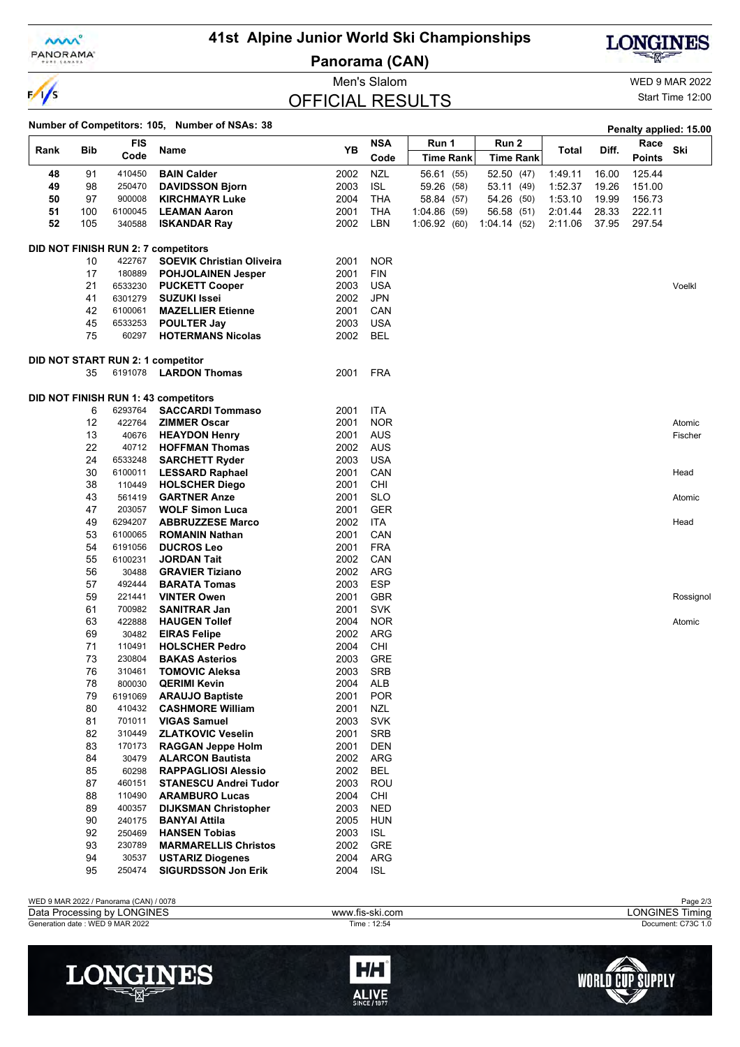

 $\frac{1}{s}$ 

## **41st Alpine Junior World Ski Championships**

**Panorama (CAN)**



**Penalty applied: 15.00** 

Men's Slalom WED 9 MAR 2022

OFFICIAL RESULTS

Start Time 12:00

|      |            |            | Number of Competitors: 105, Number of NSAs: 38 |  |
|------|------------|------------|------------------------------------------------|--|
| Rank | <b>Bib</b> | <b>FIS</b> | Name                                           |  |

| Rank | Bib      | <b>FIS</b>       | Name                                                       | YB           | <b>NSA</b>               | Run 1            | Run 2            | Total   | Diff. | Race   | Ski       |
|------|----------|------------------|------------------------------------------------------------|--------------|--------------------------|------------------|------------------|---------|-------|--------|-----------|
|      |          | Code             |                                                            |              | Code                     | <b>Time Rank</b> | <b>Time Rank</b> |         |       | Points |           |
| 48   | 91       | 410450           | <b>BAIN Calder</b>                                         | 2002         | <b>NZL</b>               | 56.61 (55)       | 52.50 (47)       | 1:49.11 | 16.00 | 125.44 |           |
| 49   | 98       | 250470           | <b>DAVIDSSON Bjorn</b>                                     | 2003         | <b>ISL</b>               | 59.26 (58)       | 53.11 (49)       | 1.52.37 | 19.26 | 151.00 |           |
| 50   | 97       | 900008           | <b>KIRCHMAYR Luke</b>                                      | 2004         | <b>THA</b>               | 58.84 (57)       | 54.26 (50)       | 1.53.10 | 19.99 | 156.73 |           |
| 51   | 100      | 6100045          | <b>LEAMAN Aaron</b>                                        | 2001         | THA                      | 1:04.86<br>(59)  | 56.58 (51)       | 2:01.44 | 28.33 | 222.11 |           |
| 52   | 105      | 340588           | <b>ISKANDAR Ray</b>                                        | 2002         | LBN                      | 1:06.92(60)      | 1:04.14(52)      | 2:11.06 | 37.95 | 297.54 |           |
|      |          |                  | DID NOT FINISH RUN 2: 7 competitors                        |              |                          |                  |                  |         |       |        |           |
|      | 10       | 422767           | <b>SOEVIK Christian Oliveira</b>                           | 2001         | <b>NOR</b>               |                  |                  |         |       |        |           |
|      | 17       | 180889           | <b>POHJOLAINEN Jesper</b>                                  | 2001         | <b>FIN</b>               |                  |                  |         |       |        |           |
|      | 21       | 6533230          | <b>PUCKETT Cooper</b>                                      | 2003         | <b>USA</b>               |                  |                  |         |       |        | Voelkl    |
|      | 41       | 6301279          | <b>SUZUKI Issei</b>                                        | 2002         | <b>JPN</b>               |                  |                  |         |       |        |           |
|      | 42       | 6100061          | <b>MAZELLIER Etienne</b>                                   | 2001         | CAN                      |                  |                  |         |       |        |           |
|      | 45       | 6533253          | <b>POULTER Jay</b>                                         | 2003         | <b>USA</b>               |                  |                  |         |       |        |           |
|      | 75       | 60297            | <b>HOTERMANS Nicolas</b>                                   | 2002         | BEL                      |                  |                  |         |       |        |           |
|      |          |                  |                                                            |              |                          |                  |                  |         |       |        |           |
|      | 35       | 6191078          | DID NOT START RUN 2: 1 competitor<br><b>LARDON Thomas</b>  | 2001         | <b>FRA</b>               |                  |                  |         |       |        |           |
|      |          |                  |                                                            |              |                          |                  |                  |         |       |        |           |
|      |          |                  | DID NOT FINISH RUN 1: 43 competitors                       |              |                          |                  |                  |         |       |        |           |
|      | 6        | 6293764          | <b>SACCARDI Tommaso</b>                                    | 2001         | <b>ITA</b>               |                  |                  |         |       |        |           |
|      | 12       | 422764           | <b>ZIMMER Oscar</b>                                        | 2001         | <b>NOR</b>               |                  |                  |         |       |        | Atomic    |
|      | 13       | 40676            | <b>HEAYDON Henry</b>                                       | 2001         | AUS                      |                  |                  |         |       |        | Fischer   |
|      | 22       | 40712            | <b>HOFFMAN Thomas</b>                                      | 2002         | <b>AUS</b>               |                  |                  |         |       |        |           |
|      | 24       | 6533248          | <b>SARCHETT Ryder</b>                                      | 2003         | <b>USA</b>               |                  |                  |         |       |        |           |
|      | 30       | 6100011          | <b>LESSARD Raphael</b>                                     | 2001         | CAN                      |                  |                  |         |       |        | Head      |
|      | 38       | 110449           | <b>HOLSCHER Diego</b>                                      | 2001         | CHI                      |                  |                  |         |       |        |           |
|      | 43       | 561419           | <b>GARTNER Anze</b>                                        | 2001         | <b>SLO</b>               |                  |                  |         |       |        | Atomic    |
|      | 47       | 203057           | <b>WOLF Simon Luca</b>                                     | 2001         | <b>GER</b>               |                  |                  |         |       |        |           |
|      | 49       | 6294207          | <b>ABBRUZZESE Marco</b>                                    | 2002         | <b>ITA</b>               |                  |                  |         |       |        | Head      |
|      | 53       | 6100065          | <b>ROMANIN Nathan</b>                                      | 2001         | CAN                      |                  |                  |         |       |        |           |
|      | 54       | 6191056          | <b>DUCROS Leo</b>                                          | 2001         | <b>FRA</b>               |                  |                  |         |       |        |           |
|      | 55       | 6100231          | <b>JORDAN Tait</b>                                         | 2002         | CAN                      |                  |                  |         |       |        |           |
|      | 56       | 30488            | <b>GRAVIER Tiziano</b>                                     | 2002         | <b>ARG</b>               |                  |                  |         |       |        |           |
|      | 57       | 492444           | <b>BARATA Tomas</b>                                        | 2003         | <b>ESP</b>               |                  |                  |         |       |        |           |
|      | 59       | 221441           | <b>VINTER Owen</b>                                         | 2001         | <b>GBR</b>               |                  |                  |         |       |        | Rossignol |
|      | 61       | 700982           | <b>SANITRAR Jan</b>                                        | 2001         | <b>SVK</b>               |                  |                  |         |       |        |           |
|      | 63       | 422888           | <b>HAUGEN Tollef</b>                                       | 2004         | <b>NOR</b>               |                  |                  |         |       |        | Atomic    |
|      | 69       | 30482            | <b>EIRAS Felipe</b>                                        | 2002         | ARG                      |                  |                  |         |       |        |           |
|      | 71       | 110491           | <b>HOLSCHER Pedro</b>                                      | 2004         | CHI                      |                  |                  |         |       |        |           |
|      | 73       | 230804           | <b>BAKAS Asterios</b>                                      | 2003         | <b>GRE</b>               |                  |                  |         |       |        |           |
|      | 76       | 310461           | <b>TOMOVIC Aleksa</b>                                      | 2003         | <b>SRB</b>               |                  |                  |         |       |        |           |
|      | 78       | 800030           | <b>QERIMI Kevin</b>                                        | 2004         | <b>ALB</b>               |                  |                  |         |       |        |           |
|      | 79       | 6191069          | <b>ARAUJO Baptiste</b>                                     | 2001         | <b>POR</b>               |                  |                  |         |       |        |           |
|      | 80       | 410432           | <b>CASHMORE William</b>                                    | 2001         | <b>NZL</b>               |                  |                  |         |       |        |           |
|      | 81       | 701011           | <b>VIGAS Samuel</b>                                        | 2003         | <b>SVK</b>               |                  |                  |         |       |        |           |
|      | 82       | 310449           | <b>ZLATKOVIC Veselin</b>                                   | 2001         | <b>SRB</b>               |                  |                  |         |       |        |           |
|      | 83       | 170173           | <b>RAGGAN Jeppe Holm</b>                                   | 2001         | <b>DEN</b>               |                  |                  |         |       |        |           |
|      | 84       | 30479            | <b>ALARCON Bautista</b>                                    | 2002         | ARG                      |                  |                  |         |       |        |           |
|      | 85<br>87 | 60298            | <b>RAPPAGLIOSI Alessio</b><br><b>STANESCU Andrei Tudor</b> | 2002<br>2003 | <b>BEL</b><br>ROU        |                  |                  |         |       |        |           |
|      |          | 460151<br>110490 | <b>ARAMBURO Lucas</b>                                      |              |                          |                  |                  |         |       |        |           |
|      | 88       |                  |                                                            | 2004         | CHI                      |                  |                  |         |       |        |           |
|      | 89<br>90 | 400357<br>240175 | <b>DIJKSMAN Christopher</b><br><b>BANYAI Attila</b>        | 2003<br>2005 | <b>NED</b><br><b>HUN</b> |                  |                  |         |       |        |           |
|      | 92       | 250469           | <b>HANSEN Tobias</b>                                       |              | <b>ISL</b>               |                  |                  |         |       |        |           |
|      |          |                  |                                                            | 2003         |                          |                  |                  |         |       |        |           |
|      | 93       | 230789           | <b>MARMARELLIS Christos</b>                                | 2002         | <b>GRE</b>               |                  |                  |         |       |        |           |
|      | 94<br>95 | 30537<br>250474  | <b>USTARIZ Diogenes</b><br><b>SIGURDSSON Jon Erik</b>      | 2004         | ARG<br><b>ISL</b>        |                  |                  |         |       |        |           |
|      |          |                  |                                                            | 2004         |                          |                  |                  |         |       |        |           |

| WED 9 MAR 2022 / Panorama (CAN) /<br>/ 0078          |                 | Page 2/3             |
|------------------------------------------------------|-----------------|----------------------|
| <b>LONGINES</b><br>Data<br><b>Processing L</b><br>nv | www.fis-ski.com | _ONC<br>INF<br>iming |
| Generation date: WED 9 MAR 2022                      | 12:54<br>Time.  | Document: C73C 1.0   |